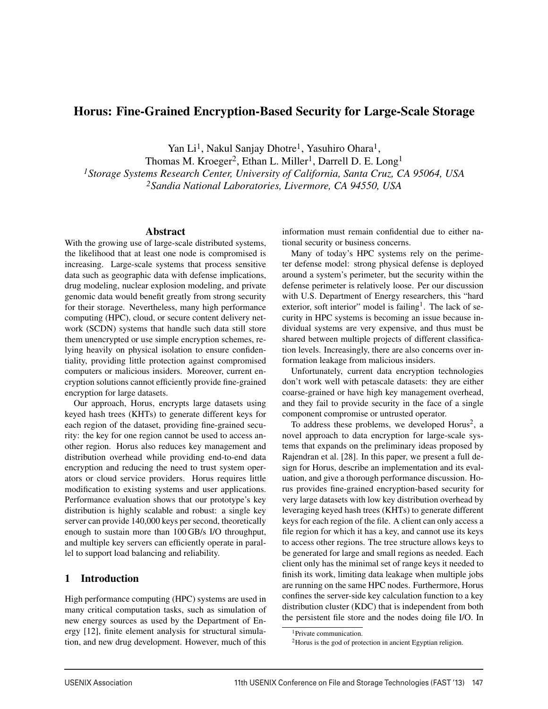# Horus: Fine-Grained Encryption-Based Security for Large-Scale Storage

Yan Li<sup>1</sup>, Nakul Sanjay Dhotre<sup>1</sup>, Yasuhiro Ohara<sup>1</sup>,

Thomas M. Kroeger<sup>2</sup>, Ethan L. Miller<sup>1</sup>, Darrell D. E. Long<sup>1</sup> *1Storage Systems Research Center, University of California, Santa Cruz, CA 95064, USA 2Sandia National Laboratories, Livermore, CA 94550, USA*

#### Abstract

With the growing use of large-scale distributed systems, the likelihood that at least one node is compromised is increasing. Large-scale systems that process sensitive data such as geographic data with defense implications, drug modeling, nuclear explosion modeling, and private genomic data would benefit greatly from strong security for their storage. Nevertheless, many high performance computing (HPC), cloud, or secure content delivery network (SCDN) systems that handle such data still store them unencrypted or use simple encryption schemes, relying heavily on physical isolation to ensure confidentiality, providing little protection against compromised computers or malicious insiders. Moreover, current encryption solutions cannot efficiently provide fine-grained encryption for large datasets.

Our approach, Horus, encrypts large datasets using keyed hash trees (KHTs) to generate different keys for each region of the dataset, providing fine-grained security: the key for one region cannot be used to access another region. Horus also reduces key management and distribution overhead while providing end-to-end data encryption and reducing the need to trust system operators or cloud service providers. Horus requires little modification to existing systems and user applications. Performance evaluation shows that our prototype's key distribution is highly scalable and robust: a single key server can provide 140,000 keys per second, theoretically enough to sustain more than 100 GB/s I/O throughput, and multiple key servers can efficiently operate in parallel to support load balancing and reliability.

### 1 Introduction

High performance computing (HPC) systems are used in many critical computation tasks, such as simulation of new energy sources as used by the Department of Energy [12], finite element analysis for structural simulation, and new drug development. However, much of this

information must remain confidential due to either national security or business concerns.

Many of today's HPC systems rely on the perimeter defense model: strong physical defense is deployed around a system's perimeter, but the security within the defense perimeter is relatively loose. Per our discussion with U.S. Department of Energy researchers, this "hard exterior, soft interior" model is failing<sup>1</sup>. The lack of security in HPC systems is becoming an issue because individual systems are very expensive, and thus must be shared between multiple projects of different classification levels. Increasingly, there are also concerns over information leakage from malicious insiders.

Unfortunately, current data encryption technologies don't work well with petascale datasets: they are either coarse-grained or have high key management overhead, and they fail to provide security in the face of a single component compromise or untrusted operator.

To address these problems, we developed  $Horus^2$ , a novel approach to data encryption for large-scale systems that expands on the preliminary ideas proposed by Rajendran et al. [28]. In this paper, we present a full design for Horus, describe an implementation and its evaluation, and give a thorough performance discussion. Horus provides fine-grained encryption-based security for very large datasets with low key distribution overhead by leveraging keyed hash trees (KHTs) to generate different keys for each region of the file. A client can only access a file region for which it has a key, and cannot use its keys to access other regions. The tree structure allows keys to be generated for large and small regions as needed. Each client only has the minimal set of range keys it needed to finish its work, limiting data leakage when multiple jobs are running on the same HPC nodes. Furthermore, Horus confines the server-side key calculation function to a key distribution cluster (KDC) that is independent from both the persistent file store and the nodes doing file I/O. In

<sup>&</sup>lt;sup>1</sup>Private communication.

<sup>2</sup>Horus is the god of protection in ancient Egyptian religion.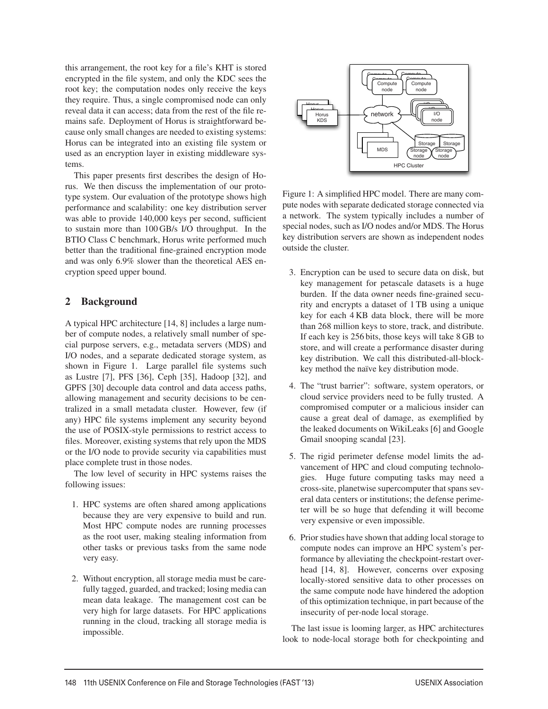this arrangement, the root key for a file's KHT is stored encrypted in the file system, and only the KDC sees the root key; the computation nodes only receive the keys they require. Thus, a single compromised node can only reveal data it can access; data from the rest of the file remains safe. Deployment of Horus is straightforward because only small changes are needed to existing systems: Horus can be integrated into an existing file system or used as an encryption layer in existing middleware systems.

This paper presents first describes the design of Horus. We then discuss the implementation of our prototype system. Our evaluation of the prototype shows high performance and scalability: one key distribution server was able to provide 140,000 keys per second, sufficient to sustain more than 100 GB/s I/O throughput. In the BTIO Class C benchmark, Horus write performed much better than the traditional fine-grained encryption mode and was only 6.9% slower than the theoretical AES encryption speed upper bound.

## 2 Background

A typical HPC architecture [14, 8] includes a large number of compute nodes, a relatively small number of special purpose servers, e.g., metadata servers (MDS) and I/O nodes, and a separate dedicated storage system, as shown in Figure 1. Large parallel file systems such as Lustre [7], PFS [36], Ceph [35], Hadoop [32], and GPFS [30] decouple data control and data access paths, allowing management and security decisions to be centralized in a small metadata cluster. However, few (if any) HPC file systems implement any security beyond the use of POSIX-style permissions to restrict access to files. Moreover, existing systems that rely upon the MDS or the I/O node to provide security via capabilities must place complete trust in those nodes.

The low level of security in HPC systems raises the following issues:

- 1. HPC systems are often shared among applications because they are very expensive to build and run. Most HPC compute nodes are running processes as the root user, making stealing information from other tasks or previous tasks from the same node very easy.
- 2. Without encryption, all storage media must be carefully tagged, guarded, and tracked; losing media can mean data leakage. The management cost can be very high for large datasets. For HPC applications running in the cloud, tracking all storage media is impossible.



Figure 1: A simplified HPC model. There are many compute nodes with separate dedicated storage connected via a network. The system typically includes a number of special nodes, such as I/O nodes and/or MDS. The Horus key distribution servers are shown as independent nodes outside the cluster.

- 3. Encryption can be used to secure data on disk, but key management for petascale datasets is a huge burden. If the data owner needs fine-grained security and encrypts a dataset of 1 TB using a unique key for each 4 KB data block, there will be more than 268 million keys to store, track, and distribute. If each key is 256 bits, those keys will take 8 GB to store, and will create a performance disaster during key distribution. We call this distributed-all-blockkey method the naïve key distribution mode.
- 4. The "trust barrier": software, system operators, or cloud service providers need to be fully trusted. A compromised computer or a malicious insider can cause a great deal of damage, as exemplified by the leaked documents on WikiLeaks [6] and Google Gmail snooping scandal [23].
- 5. The rigid perimeter defense model limits the advancement of HPC and cloud computing technologies. Huge future computing tasks may need a cross-site, planetwise supercomputer that spans several data centers or institutions; the defense perimeter will be so huge that defending it will become very expensive or even impossible.
- 6. Prior studies have shown that adding local storage to compute nodes can improve an HPC system's performance by alleviating the checkpoint-restart overhead [14, 8]. However, concerns over exposing locally-stored sensitive data to other processes on the same compute node have hindered the adoption of this optimization technique, in part because of the insecurity of per-node local storage.

The last issue is looming larger, as HPC architectures look to node-local storage both for checkpointing and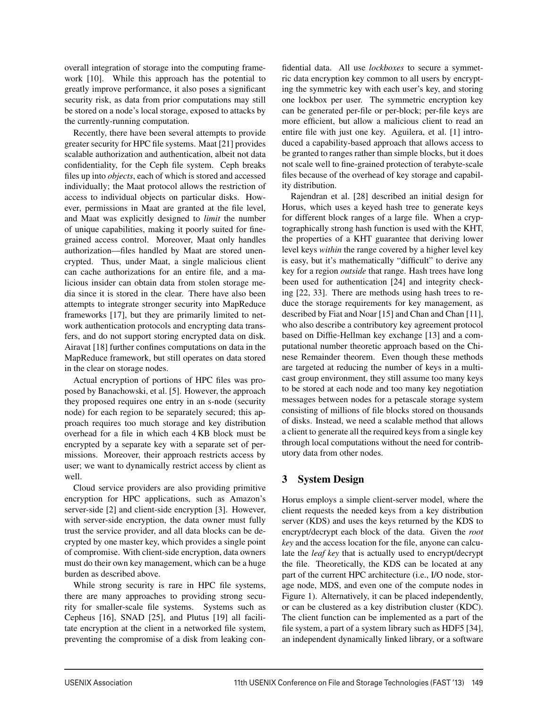overall integration of storage into the computing framework [10]. While this approach has the potential to greatly improve performance, it also poses a significant security risk, as data from prior computations may still be stored on a node's local storage, exposed to attacks by the currently-running computation.

Recently, there have been several attempts to provide greater security for HPC file systems. Maat [21] provides scalable authorization and authentication, albeit not data confidentiality, for the Ceph file system. Ceph breaks files up into *objects*, each of which is stored and accessed individually; the Maat protocol allows the restriction of access to individual objects on particular disks. However, permissions in Maat are granted at the file level, and Maat was explicitly designed to *limit* the number of unique capabilities, making it poorly suited for finegrained access control. Moreover, Maat only handles authorization—files handled by Maat are stored unencrypted. Thus, under Maat, a single malicious client can cache authorizations for an entire file, and a malicious insider can obtain data from stolen storage media since it is stored in the clear. There have also been attempts to integrate stronger security into MapReduce frameworks [17], but they are primarily limited to network authentication protocols and encrypting data transfers, and do not support storing encrypted data on disk. Airavat [18] further confines computations on data in the MapReduce framework, but still operates on data stored in the clear on storage nodes.

Actual encryption of portions of HPC files was proposed by Banachowski, et al. [5]. However, the approach they proposed requires one entry in an s-node (security node) for each region to be separately secured; this approach requires too much storage and key distribution overhead for a file in which each 4 KB block must be encrypted by a separate key with a separate set of permissions. Moreover, their approach restricts access by user; we want to dynamically restrict access by client as well.

Cloud service providers are also providing primitive encryption for HPC applications, such as Amazon's server-side [2] and client-side encryption [3]. However, with server-side encryption, the data owner must fully trust the service provider, and all data blocks can be decrypted by one master key, which provides a single point of compromise. With client-side encryption, data owners must do their own key management, which can be a huge burden as described above.

While strong security is rare in HPC file systems, there are many approaches to providing strong security for smaller-scale file systems. Systems such as Cepheus [16], SNAD [25], and Plutus [19] all facilitate encryption at the client in a networked file system, preventing the compromise of a disk from leaking confidential data. All use *lockboxes* to secure a symmetric data encryption key common to all users by encrypting the symmetric key with each user's key, and storing one lockbox per user. The symmetric encryption key can be generated per-file or per-block; per-file keys are more efficient, but allow a malicious client to read an entire file with just one key. Aguilera, et al. [1] introduced a capability-based approach that allows access to be granted to ranges rather than simple blocks, but it does not scale well to fine-grained protection of terabyte-scale files because of the overhead of key storage and capability distribution.

Rajendran et al. [28] described an initial design for Horus, which uses a keyed hash tree to generate keys for different block ranges of a large file. When a cryptographically strong hash function is used with the KHT, the properties of a KHT guarantee that deriving lower level keys *within* the range covered by a higher level key is easy, but it's mathematically "difficult" to derive any key for a region *outside* that range. Hash trees have long been used for authentication [24] and integrity checking [22, 33]. There are methods using hash trees to reduce the storage requirements for key management, as described by Fiat and Noar [15] and Chan and Chan [11], who also describe a contributory key agreement protocol based on Diffie-Hellman key exchange [13] and a computational number theoretic approach based on the Chinese Remainder theorem. Even though these methods are targeted at reducing the number of keys in a multicast group environment, they still assume too many keys to be stored at each node and too many key negotiation messages between nodes for a petascale storage system consisting of millions of file blocks stored on thousands of disks. Instead, we need a scalable method that allows a client to generate all the required keys from a single key through local computations without the need for contributory data from other nodes.

# 3 System Design

Horus employs a simple client-server model, where the client requests the needed keys from a key distribution server (KDS) and uses the keys returned by the KDS to encrypt/decrypt each block of the data. Given the *root key* and the access location for the file, anyone can calculate the *leaf key* that is actually used to encrypt/decrypt the file. Theoretically, the KDS can be located at any part of the current HPC architecture (i.e., I/O node, storage node, MDS, and even one of the compute nodes in Figure 1). Alternatively, it can be placed independently, or can be clustered as a key distribution cluster (KDC). The client function can be implemented as a part of the file system, a part of a system library such as HDF5 [34], an independent dynamically linked library, or a software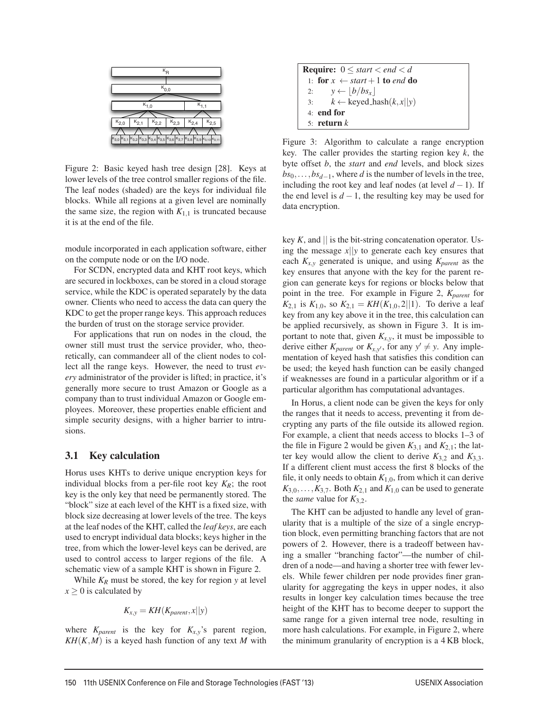

Figure 2: Basic keyed hash tree design [28]. Keys at lower levels of the tree control smaller regions of the file. The leaf nodes (shaded) are the keys for individual file blocks. While all regions at a given level are nominally the same size, the region with  $K_{1,1}$  is truncated because it is at the end of the file.

module incorporated in each application software, either on the compute node or on the I/O node.

For SCDN, encrypted data and KHT root keys, which are secured in lockboxes, can be stored in a cloud storage service, while the KDC is operated separately by the data owner. Clients who need to access the data can query the KDC to get the proper range keys. This approach reduces the burden of trust on the storage service provider.

For applications that run on nodes in the cloud, the owner still must trust the service provider, who, theoretically, can commandeer all of the client nodes to collect all the range keys. However, the need to trust *every* administrator of the provider is lifted; in practice, it's generally more secure to trust Amazon or Google as a company than to trust individual Amazon or Google employees. Moreover, these properties enable efficient and simple security designs, with a higher barrier to intrusions.

#### 3.1 Key calculation

Horus uses KHTs to derive unique encryption keys for individual blocks from a per-file root key  $K_R$ ; the root key is the only key that need be permanently stored. The "block" size at each level of the KHT is a fixed size, with block size decreasing at lower levels of the tree. The keys at the leaf nodes of the KHT, called the *leaf keys*, are each used to encrypt individual data blocks; keys higher in the tree, from which the lower-level keys can be derived, are used to control access to larger regions of the file. A schematic view of a sample KHT is shown in Figure 2.

While  $K_R$  must be stored, the key for region  $y$  at level  $x \geq 0$  is calculated by

$$
K_{x,y} = KH(K_{parent}, x||y)
$$

where  $K_{parent}$  is the key for  $K_{x,y}$ 's parent region,  $KH(K,M)$  is a keyed hash function of any text *M* with

| <b>Require:</b> $0 \leq start < end < d$    |
|---------------------------------------------|
| 1: for $x \leftarrow start + 1$ to end do   |
| 2: $y \leftarrow  b/bs_x $                  |
| $k \leftarrow$ keyed_hash $(k, x  y)$<br>3: |
| $41$ end for                                |
| 5. return $k$                               |

Figure 3: Algorithm to calculate a range encryption key. The caller provides the starting region key *k*, the byte offset *b*, the *start* and *end* levels, and block sizes *bs*<sub>0</sub>,...,*bs*<sub>*d*−1</sub>, where *d* is the number of levels in the tree, including the root key and leaf nodes (at level  $d-1$ ). If the end level is  $d-1$ , the resulting key may be used for data encryption.

key  $K$ , and  $\parallel$  is the bit-string concatenation operator. Using the message *x*||*y* to generate each key ensures that each  $K_{x,y}$  generated is unique, and using  $K_{parent}$  as the key ensures that anyone with the key for the parent region can generate keys for regions or blocks below that point in the tree. For example in Figure 2,  $K_{parent}$  for  $K_{2,1}$  is  $K_{1,0}$ , so  $K_{2,1} = KH(K_{1,0}, 2||1)$ . To derive a leaf key from any key above it in the tree, this calculation can be applied recursively, as shown in Figure 3. It is important to note that, given  $K_{x,y}$ , it must be impossible to derive either  $K_{parent}$  or  $K_{x,y'}$ , for any  $y' \neq y$ . Any implementation of keyed hash that satisfies this condition can be used; the keyed hash function can be easily changed if weaknesses are found in a particular algorithm or if a particular algorithm has computational advantages.

In Horus, a client node can be given the keys for only the ranges that it needs to access, preventing it from decrypting any parts of the file outside its allowed region. For example, a client that needs access to blocks 1–3 of the file in Figure 2 would be given  $K_{3,1}$  and  $K_{2,1}$ ; the latter key would allow the client to derive  $K_{3,2}$  and  $K_{3,3}$ . If a different client must access the first 8 blocks of the file, it only needs to obtain  $K_{1,0}$ , from which it can derive  $K_{3,0},\ldots,K_{3,7}$ . Both  $K_{2,1}$  and  $K_{1,0}$  can be used to generate the *same* value for  $K_{3,2}$ .

The KHT can be adjusted to handle any level of granularity that is a multiple of the size of a single encryption block, even permitting branching factors that are not powers of 2. However, there is a tradeoff between having a smaller "branching factor"—the number of children of a node—and having a shorter tree with fewer levels. While fewer children per node provides finer granularity for aggregating the keys in upper nodes, it also results in longer key calculation times because the tree height of the KHT has to become deeper to support the same range for a given internal tree node, resulting in more hash calculations. For example, in Figure 2, where the minimum granularity of encryption is a 4 KB block,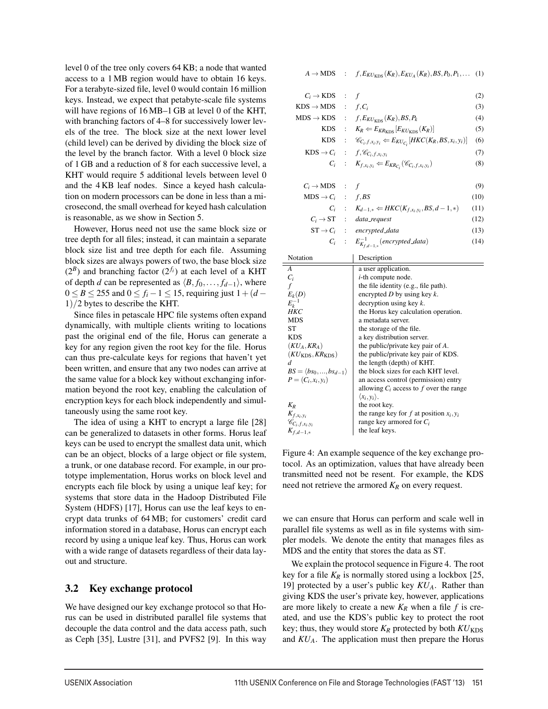level 0 of the tree only covers 64 KB; a node that wanted access to a 1 MB region would have to obtain 16 keys. For a terabyte-sized file, level 0 would contain 16 million keys. Instead, we expect that petabyte-scale file systems will have regions of 16 MB–1 GB at level 0 of the KHT, with branching factors of 4–8 for successively lower levels of the tree. The block size at the next lower level (child level) can be derived by dividing the block size of the level by the branch factor. With a level 0 block size of 1 GB and a reduction of 8 for each successive level, a KHT would require 5 additional levels between level 0 and the 4 KB leaf nodes. Since a keyed hash calculation on modern processors can be done in less than a microsecond, the small overhead for keyed hash calculation is reasonable, as we show in Section 5.

However, Horus need not use the same block size or tree depth for all files; instead, it can maintain a separate block size list and tree depth for each file. Assuming block sizes are always powers of two, the base block size  $(2^{B})$  and branching factor  $(2^{f_i})$  at each level of a KHT of depth *d* can be represented as  $\langle B, f_0, \ldots, f_{d-1} \rangle$ , where  $0 \le B \le 255$  and  $0 \le f_i - 1 \le 15$ , requiring just  $1 + (d - 1)$ 1)/2 bytes to describe the KHT.

Since files in petascale HPC file systems often expand dynamically, with multiple clients writing to locations past the original end of the file, Horus can generate a key for any region given the root key for the file. Horus can thus pre-calculate keys for regions that haven't yet been written, and ensure that any two nodes can arrive at the same value for a block key without exchanging information beyond the root key, enabling the calculation of encryption keys for each block independently and simultaneously using the same root key.

The idea of using a KHT to encrypt a large file [28] can be generalized to datasets in other forms. Horus leaf keys can be used to encrypt the smallest data unit, which can be an object, blocks of a large object or file system, a trunk, or one database record. For example, in our prototype implementation, Horus works on block level and encrypts each file block by using a unique leaf key; for systems that store data in the Hadoop Distributed File System (HDFS) [17], Horus can use the leaf keys to encrypt data trunks of 64 MB; for customers' credit card information stored in a database, Horus can encrypt each record by using a unique leaf key. Thus, Horus can work with a wide range of datasets regardless of their data layout and structure.

### 3.2 Key exchange protocol

We have designed our key exchange protocol so that Horus can be used in distributed parallel file systems that decouple the data control and the data access path, such as Ceph [35], Lustre [31], and PVFS2 [9]. In this way

 $A \to MDS$  :  $f, E_{KU_{KDS}}(K_R), E_{KU_A}(K_R), BS, P_0, P_1, ...$  (1)

| $C_i \rightarrow KDS$ : f       |                                                                              | (2)  |
|---------------------------------|------------------------------------------------------------------------------|------|
| $KDS \rightarrow MDS$ : $f.C_i$ |                                                                              | (3)  |
|                                 | $MDS \rightarrow KDS$ : $f, E_{KU_{KDS}}(K_R), BS, P_k$                      | (4)  |
| <b>KDS</b>                      | : $K_R \leftarrow E_{KR_{KDS}}[E_{KU_{KDS}}(K_R)]$                           | (5)  |
| <b>KDS</b>                      | : $\mathscr{C}_{C_i,f,x_i,y_i} \leftarrow E_{KU_{C_i}}[HKC(K_R,BS,x_i,y_i)]$ | (6)  |
|                                 | $KDS \to C_i$ : $f, \mathscr{C}_{C_i, f, x_i, y_i}$                          | (7)  |
|                                 | $C_i$ : $K_{f,x_i,y_i} \leftarrow E_{KR_{C_i}}(\mathscr{C}_{C_i,f,x_i,y_i})$ | (8)  |
|                                 |                                                                              |      |
| $C_i \rightarrow MDS$ : f       |                                                                              | (9)  |
| $MDS \rightarrow C_i$ : f, BS   |                                                                              | (10) |
|                                 | $C_i$ : $K_{d-1,*} \leftarrow HKC(K_{f,x_i,y_i}, BS, d-1,*)$                 | (11) |
|                                 | $C_i \rightarrow ST$ : data_request                                          | (12) |
|                                 | $ST \rightarrow C_i$ : encrypted_data                                        | (13) |

| $C_i$ : $E_{K_{f,d-1,*}}^{-1}$ (encrypted_data) | (14) |
|-------------------------------------------------|------|

| Notation                                      | Description                                |
|-----------------------------------------------|--------------------------------------------|
| A                                             | a user application.                        |
| $C_i$                                         | <i>i</i> -th compute node.                 |
| $\int$                                        | the file identity (e.g., file path).       |
| $E_k(D)$                                      | encrypted $D$ by using key $k$ .           |
| $E_{\nu}^{-1}$                                | decryption using key $k$ .                 |
| HKC                                           | the Horus key calculation operation.       |
| <b>MDS</b>                                    | a metadata server.                         |
| ST                                            | the storage of the file.                   |
| <b>KDS</b>                                    | a key distribution server.                 |
| $(KU_A, KR_A)$                                | the public/private key pair of $A$ .       |
| $(KU_{KDS}, KR_{KDS})$                        | the public/private key pair of KDS.        |
| d                                             | the length (depth) of KHT.                 |
| $BS = \langle bs_0, \ldots, bs_{d-1} \rangle$ | the block sizes for each KHT level.        |
| $P = (C_i, x_i, y_i)$                         | an access control (permission) entry       |
|                                               | allowing $C_i$ access to f over the range  |
|                                               | $\langle x_i, y_i \rangle$ .               |
| $K_R$                                         | the root key.                              |
| $K_{f,x_i,y_i}$                               | the range key for f at position $x_i, y_i$ |
| $\mathscr{C}_{C_i,f,x_i,y_i}$                 | range key armored for $C_i$                |
| $K_{f,d-1,*}$                                 | the leaf keys.                             |

Figure 4: An example sequence of the key exchange protocol. As an optimization, values that have already been transmitted need not be resent. For example, the KDS need not retrieve the armored *KR* on every request.

we can ensure that Horus can perform and scale well in parallel file systems as well as in file systems with simpler models. We denote the entity that manages files as MDS and the entity that stores the data as ST.

We explain the protocol sequence in Figure 4. The root key for a file  $K_R$  is normally stored using a lockbox [25, 19] protected by a user's public key  $KU_A$ . Rather than giving KDS the user's private key, however, applications are more likely to create a new  $K_R$  when a file  $f$  is created, and use the KDS's public key to protect the root key; thus, they would store  $K_R$  protected by both  $KU_{KDS}$ and *KUA*. The application must then prepare the Horus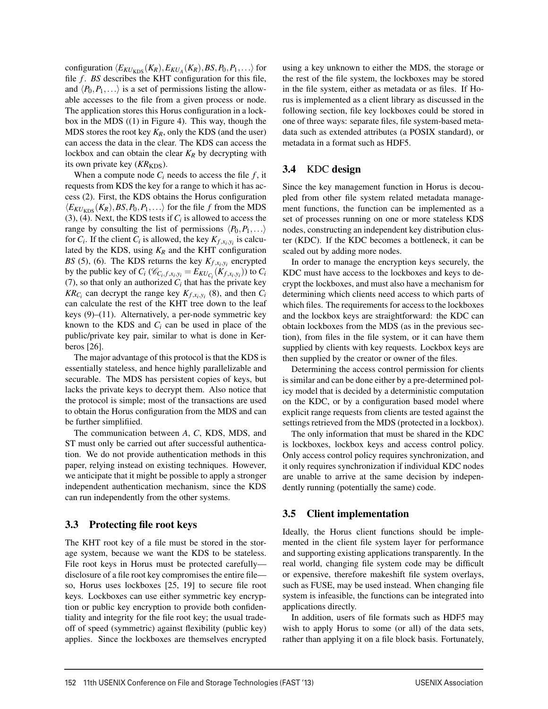configuration  $\langle E_{KU_{KDS}}(K_R), E_{KU_A}(K_R), BS, P_0, P_1, \ldots \rangle$  for file *f*. *BS* describes the KHT configuration for this file, and  $\langle P_0, P_1, \ldots \rangle$  is a set of permissions listing the allowable accesses to the file from a given process or node. The application stores this Horus configuration in a lockbox in the MDS ((1) in Figure 4). This way, though the MDS stores the root key  $K_R$ , only the KDS (and the user) can access the data in the clear. The KDS can access the lockbox and can obtain the clear  $K_R$  by decrypting with its own private key (*KR*<sub>KDS</sub>).

When a compute node  $C_i$  needs to access the file  $f$ , it requests from KDS the key for a range to which it has access (2). First, the KDS obtains the Horus configuration  $\langle E_{KU_{KDS}}(K_R), BS, P_0, P_1, \ldots \rangle$  for the file *f* from the MDS (3), (4). Next, the KDS tests if  $C_i$  is allowed to access the range by consulting the list of permissions  $\langle P_0, P_1, \ldots \rangle$ for  $C_i$ . If the client  $C_i$  is allowed, the key  $K_{f,x_i,y_i}$  is calculated by the KDS, using  $K_R$  and the KHT configuration *BS* (5), (6). The KDS returns the key  $K_{f,x_i,y_i}$  encrypted by the public key of  $C_i$  ( $\mathcal{C}_{C_i,f,x_i,y_i} = E_{KU_{C_i}}(K_{f,x_i,y_i})$ ) to  $C_i$ (7), so that only an authorized  $C_i$  that has the private key  $KR_{C_i}$  can decrypt the range key  $K_{f,x_i,y_i}$  (8), and then  $C_i$ can calculate the rest of the KHT tree down to the leaf keys (9)–(11). Alternatively, a per-node symmetric key known to the KDS and *Ci* can be used in place of the public/private key pair, similar to what is done in Kerberos [26].

The major advantage of this protocol is that the KDS is essentially stateless, and hence highly parallelizable and securable. The MDS has persistent copies of keys, but lacks the private keys to decrypt them. Also notice that the protocol is simple; most of the transactions are used to obtain the Horus configuration from the MDS and can be further simplifiied.

The communication between *A*, *C*, KDS, MDS, and ST must only be carried out after successful authentication. We do not provide authentication methods in this paper, relying instead on existing techniques. However, we anticipate that it might be possible to apply a stronger independent authentication mechanism, since the KDS can run independently from the other systems.

### 3.3 Protecting file root keys

The KHT root key of a file must be stored in the storage system, because we want the KDS to be stateless. File root keys in Horus must be protected carefully disclosure of a file root key compromises the entire file so, Horus uses lockboxes [25, 19] to secure file root keys. Lockboxes can use either symmetric key encryption or public key encryption to provide both confidentiality and integrity for the file root key; the usual tradeoff of speed (symmetric) against flexibility (public key) applies. Since the lockboxes are themselves encrypted

using a key unknown to either the MDS, the storage or the rest of the file system, the lockboxes may be stored in the file system, either as metadata or as files. If Horus is implemented as a client library as discussed in the following section, file key lockboxes could be stored in one of three ways: separate files, file system-based metadata such as extended attributes (a POSIX standard), or metadata in a format such as HDF5.

## 3.4 KDC design

Since the key management function in Horus is decoupled from other file system related metadata management functions, the function can be implemented as a set of processes running on one or more stateless KDS nodes, constructing an independent key distribution cluster (KDC). If the KDC becomes a bottleneck, it can be scaled out by adding more nodes.

In order to manage the encryption keys securely, the KDC must have access to the lockboxes and keys to decrypt the lockboxes, and must also have a mechanism for determining which clients need access to which parts of which files. The requirements for access to the lockboxes and the lockbox keys are straightforward: the KDC can obtain lockboxes from the MDS (as in the previous section), from files in the file system, or it can have them supplied by clients with key requests. Lockbox keys are then supplied by the creator or owner of the files.

Determining the access control permission for clients is similar and can be done either by a pre-determined policy model that is decided by a deterministic computation on the KDC, or by a configuration based model where explicit range requests from clients are tested against the settings retrieved from the MDS (protected in a lockbox).

The only information that must be shared in the KDC is lockboxes, lockbox keys and access control policy. Only access control policy requires synchronization, and it only requires synchronization if individual KDC nodes are unable to arrive at the same decision by independently running (potentially the same) code.

## 3.5 Client implementation

Ideally, the Horus client functions should be implemented in the client file system layer for performance and supporting existing applications transparently. In the real world, changing file system code may be difficult or expensive, therefore makeshift file system overlays, such as FUSE, may be used instead. When changing file system is infeasible, the functions can be integrated into applications directly.

In addition, users of file formats such as HDF5 may wish to apply Horus to some (or all) of the data sets, rather than applying it on a file block basis. Fortunately,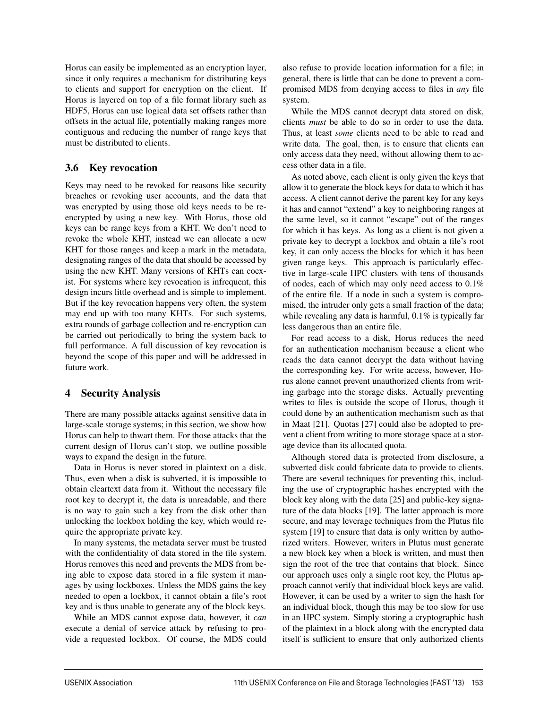Horus can easily be implemented as an encryption layer, since it only requires a mechanism for distributing keys to clients and support for encryption on the client. If Horus is layered on top of a file format library such as HDF5, Horus can use logical data set offsets rather than offsets in the actual file, potentially making ranges more contiguous and reducing the number of range keys that must be distributed to clients.

## 3.6 Key revocation

Keys may need to be revoked for reasons like security breaches or revoking user accounts, and the data that was encrypted by using those old keys needs to be reencrypted by using a new key. With Horus, those old keys can be range keys from a KHT. We don't need to revoke the whole KHT, instead we can allocate a new KHT for those ranges and keep a mark in the metadata, designating ranges of the data that should be accessed by using the new KHT. Many versions of KHTs can coexist. For systems where key revocation is infrequent, this design incurs little overhead and is simple to implement. But if the key revocation happens very often, the system may end up with too many KHTs. For such systems, extra rounds of garbage collection and re-encryption can be carried out periodically to bring the system back to full performance. A full discussion of key revocation is beyond the scope of this paper and will be addressed in future work.

## 4 Security Analysis

There are many possible attacks against sensitive data in large-scale storage systems; in this section, we show how Horus can help to thwart them. For those attacks that the current design of Horus can't stop, we outline possible ways to expand the design in the future.

Data in Horus is never stored in plaintext on a disk. Thus, even when a disk is subverted, it is impossible to obtain cleartext data from it. Without the necessary file root key to decrypt it, the data is unreadable, and there is no way to gain such a key from the disk other than unlocking the lockbox holding the key, which would require the appropriate private key.

In many systems, the metadata server must be trusted with the confidentiality of data stored in the file system. Horus removes this need and prevents the MDS from being able to expose data stored in a file system it manages by using lockboxes. Unless the MDS gains the key needed to open a lockbox, it cannot obtain a file's root key and is thus unable to generate any of the block keys.

While an MDS cannot expose data, however, it *can* execute a denial of service attack by refusing to provide a requested lockbox. Of course, the MDS could also refuse to provide location information for a file; in general, there is little that can be done to prevent a compromised MDS from denying access to files in *any* file system.

While the MDS cannot decrypt data stored on disk, clients *must* be able to do so in order to use the data. Thus, at least *some* clients need to be able to read and write data. The goal, then, is to ensure that clients can only access data they need, without allowing them to access other data in a file.

As noted above, each client is only given the keys that allow it to generate the block keys for data to which it has access. A client cannot derive the parent key for any keys it has and cannot "extend" a key to neighboring ranges at the same level, so it cannot "escape" out of the ranges for which it has keys. As long as a client is not given a private key to decrypt a lockbox and obtain a file's root key, it can only access the blocks for which it has been given range keys. This approach is particularly effective in large-scale HPC clusters with tens of thousands of nodes, each of which may only need access to 0.1% of the entire file. If a node in such a system is compromised, the intruder only gets a small fraction of the data; while revealing any data is harmful, 0.1% is typically far less dangerous than an entire file.

For read access to a disk, Horus reduces the need for an authentication mechanism because a client who reads the data cannot decrypt the data without having the corresponding key. For write access, however, Horus alone cannot prevent unauthorized clients from writing garbage into the storage disks. Actually preventing writes to files is outside the scope of Horus, though it could done by an authentication mechanism such as that in Maat [21]. Quotas [27] could also be adopted to prevent a client from writing to more storage space at a storage device than its allocated quota.

Although stored data is protected from disclosure, a subverted disk could fabricate data to provide to clients. There are several techniques for preventing this, including the use of cryptographic hashes encrypted with the block key along with the data [25] and public-key signature of the data blocks [19]. The latter approach is more secure, and may leverage techniques from the Plutus file system [19] to ensure that data is only written by authorized writers. However, writers in Plutus must generate a new block key when a block is written, and must then sign the root of the tree that contains that block. Since our approach uses only a single root key, the Plutus approach cannot verify that individual block keys are valid. However, it can be used by a writer to sign the hash for an individual block, though this may be too slow for use in an HPC system. Simply storing a cryptographic hash of the plaintext in a block along with the encrypted data itself is sufficient to ensure that only authorized clients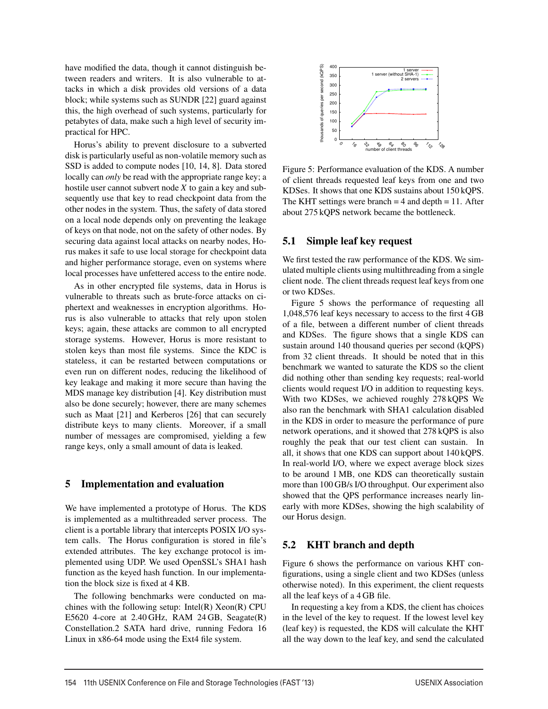have modified the data, though it cannot distinguish between readers and writers. It is also vulnerable to attacks in which a disk provides old versions of a data block; while systems such as SUNDR [22] guard against this, the high overhead of such systems, particularly for petabytes of data, make such a high level of security impractical for HPC.

Horus's ability to prevent disclosure to a subverted disk is particularly useful as non-volatile memory such as SSD is added to compute nodes [10, 14, 8]. Data stored locally can *only* be read with the appropriate range key; a hostile user cannot subvert node *X* to gain a key and subsequently use that key to read checkpoint data from the other nodes in the system. Thus, the safety of data stored on a local node depends only on preventing the leakage of keys on that node, not on the safety of other nodes. By securing data against local attacks on nearby nodes, Horus makes it safe to use local storage for checkpoint data and higher performance storage, even on systems where local processes have unfettered access to the entire node.

As in other encrypted file systems, data in Horus is vulnerable to threats such as brute-force attacks on ciphertext and weaknesses in encryption algorithms. Horus is also vulnerable to attacks that rely upon stolen keys; again, these attacks are common to all encrypted storage systems. However, Horus is more resistant to stolen keys than most file systems. Since the KDC is stateless, it can be restarted between computations or even run on different nodes, reducing the likelihood of key leakage and making it more secure than having the MDS manage key distribution [4]. Key distribution must also be done securely; however, there are many schemes such as Maat [21] and Kerberos [26] that can securely distribute keys to many clients. Moreover, if a small number of messages are compromised, yielding a few range keys, only a small amount of data is leaked.

### 5 Implementation and evaluation

We have implemented a prototype of Horus. The KDS is implemented as a multithreaded server process. The client is a portable library that intercepts POSIX I/O system calls. The Horus configuration is stored in file's extended attributes. The key exchange protocol is implemented using UDP. We used OpenSSL's SHA1 hash function as the keyed hash function. In our implementation the block size is fixed at 4 KB.

The following benchmarks were conducted on machines with the following setup: Intel $(R)$  Xeon $(R)$  CPU E5620 4-core at 2.40 GHz, RAM 24 GB, Seagate(R) Constellation.2 SATA hard drive, running Fedora 16 Linux in x86-64 mode using the Ext4 file system.



Figure 5: Performance evaluation of the KDS. A number of client threads requested leaf keys from one and two KDSes. It shows that one KDS sustains about 150 kQPS. The KHT settings were branch  $= 4$  and depth  $= 11$ . After about 275 kQPS network became the bottleneck.

### 5.1 Simple leaf key request

We first tested the raw performance of the KDS. We simulated multiple clients using multithreading from a single client node. The client threads request leaf keys from one or two KDSes.

Figure 5 shows the performance of requesting all 1,048,576 leaf keys necessary to access to the first 4 GB of a file, between a different number of client threads and KDSes. The figure shows that a single KDS can sustain around 140 thousand queries per second (kQPS) from 32 client threads. It should be noted that in this benchmark we wanted to saturate the KDS so the client did nothing other than sending key requests; real-world clients would request I/O in addition to requesting keys. With two KDSes, we achieved roughly 278 kQPS We also ran the benchmark with SHA1 calculation disabled in the KDS in order to measure the performance of pure network operations, and it showed that 278 kQPS is also roughly the peak that our test client can sustain. In all, it shows that one KDS can support about 140 kQPS. In real-world I/O, where we expect average block sizes to be around 1 MB, one KDS can theoretically sustain more than 100 GB/s I/O throughput. Our experiment also showed that the QPS performance increases nearly linearly with more KDSes, showing the high scalability of our Horus design.

## 5.2 KHT branch and depth

Figure 6 shows the performance on various KHT configurations, using a single client and two KDSes (unless otherwise noted). In this experiment, the client requests all the leaf keys of a 4 GB file.

In requesting a key from a KDS, the client has choices in the level of the key to request. If the lowest level key (leaf key) is requested, the KDS will calculate the KHT all the way down to the leaf key, and send the calculated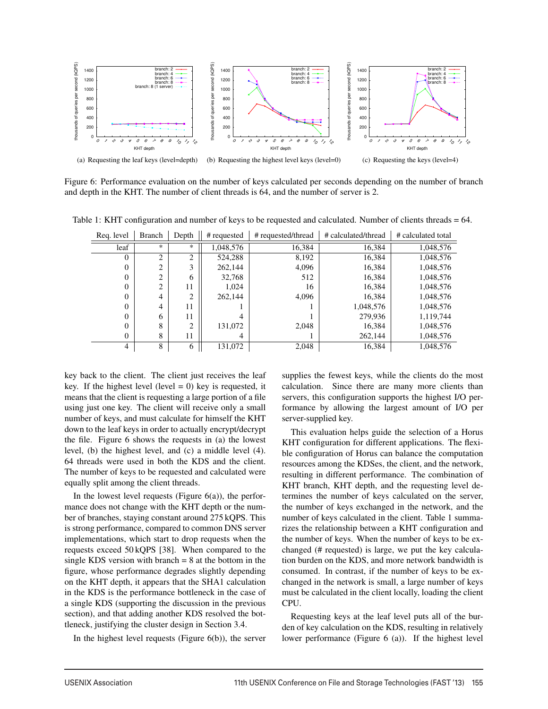

Figure 6: Performance evaluation on the number of keys calculated per seconds depending on the number of branch and depth in the KHT. The number of client threads is 64, and the number of server is 2.

| Reg. level | Branch | Depth  | # requested | # requested/thread | # calculated/thread | # calculated total |
|------------|--------|--------|-------------|--------------------|---------------------|--------------------|
| leaf       | *      | $\ast$ | 1.048.576   | 16.384             | 16,384              | 1,048,576          |
| 0          | 2      | 2      | 524,288     | 8,192              | 16,384              | 1,048,576          |
| $\theta$   | 2      |        | 262,144     | 4,096              | 16,384              | 1,048,576          |
| 0          | 2      | 6      | 32,768      | 512                | 16,384              | 1,048,576          |
| 0          | 2      | 11     | 1.024       | 16                 | 16,384              | 1,048,576          |
| 0          | 4      | 2      | 262,144     | 4,096              | 16,384              | 1,048,576          |
| 0          | 4      | 11     |             |                    | 1,048,576           | 1,048,576          |
| 0          | 6      | 11     |             |                    | 279,936             | 1,119,744          |
| 0          | 8      | 2      | 131,072     | 2.048              | 16,384              | 1,048,576          |
| 0          | 8      | 11     | 4           |                    | 262,144             | 1,048,576          |
| 4          | 8      | 6      | 131,072     | 2.048              | 16.384              | 1.048.576          |

Table 1: KHT configuration and number of keys to be requested and calculated. Number of clients threads = 64.

key back to the client. The client just receives the leaf key. If the highest level (level  $= 0$ ) key is requested, it means that the client is requesting a large portion of a file using just one key. The client will receive only a small number of keys, and must calculate for himself the KHT down to the leaf keys in order to actually encrypt/decrypt the file. Figure 6 shows the requests in (a) the lowest level, (b) the highest level, and (c) a middle level (4). 64 threads were used in both the KDS and the client. The number of keys to be requested and calculated were equally split among the client threads.

In the lowest level requests (Figure  $6(a)$ ), the performance does not change with the KHT depth or the number of branches, staying constant around 275 kQPS. This is strong performance, compared to common DNS server implementations, which start to drop requests when the requests exceed 50 kQPS [38]. When compared to the single KDS version with branch  $= 8$  at the bottom in the figure, whose performance degrades slightly depending on the KHT depth, it appears that the SHA1 calculation in the KDS is the performance bottleneck in the case of a single KDS (supporting the discussion in the previous section), and that adding another KDS resolved the bottleneck, justifying the cluster design in Section 3.4.

In the highest level requests (Figure  $6(b)$ ), the server

supplies the fewest keys, while the clients do the most calculation. Since there are many more clients than servers, this configuration supports the highest I/O performance by allowing the largest amount of I/O per server-supplied key.

This evaluation helps guide the selection of a Horus KHT configuration for different applications. The flexible configuration of Horus can balance the computation resources among the KDSes, the client, and the network, resulting in different performance. The combination of KHT branch, KHT depth, and the requesting level determines the number of keys calculated on the server, the number of keys exchanged in the network, and the number of keys calculated in the client. Table 1 summarizes the relationship between a KHT configuration and the number of keys. When the number of keys to be exchanged (# requested) is large, we put the key calculation burden on the KDS, and more network bandwidth is consumed. In contrast, if the number of keys to be exchanged in the network is small, a large number of keys must be calculated in the client locally, loading the client CPU.

Requesting keys at the leaf level puts all of the burden of key calculation on the KDS, resulting in relatively lower performance (Figure 6 (a)). If the highest level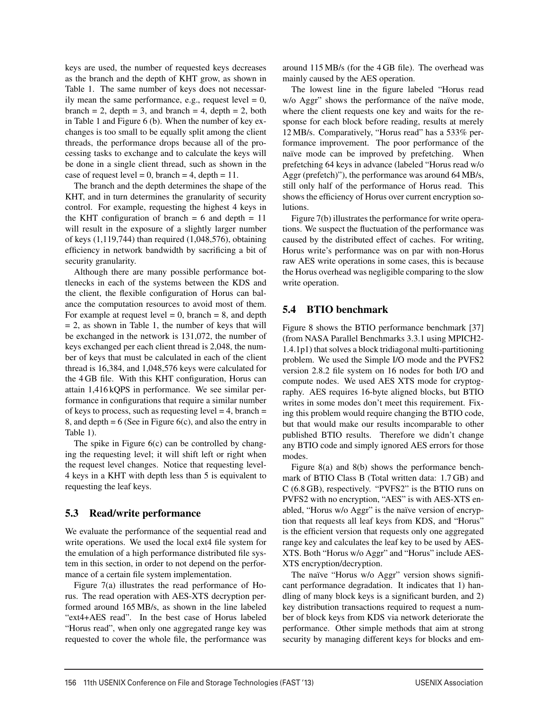keys are used, the number of requested keys decreases as the branch and the depth of KHT grow, as shown in Table 1. The same number of keys does not necessarily mean the same performance, e.g., request level  $= 0$ , branch = 2, depth = 3, and branch = 4, depth = 2, both in Table 1 and Figure 6 (b). When the number of key exchanges is too small to be equally split among the client threads, the performance drops because all of the processing tasks to exchange and to calculate the keys will be done in a single client thread, such as shown in the case of request level = 0, branch = 4, depth =  $11$ .

The branch and the depth determines the shape of the KHT, and in turn determines the granularity of security control. For example, requesting the highest 4 keys in the KHT configuration of branch  $= 6$  and depth  $= 11$ will result in the exposure of a slightly larger number of keys (1,119,744) than required (1,048,576), obtaining efficiency in network bandwidth by sacrificing a bit of security granularity.

Although there are many possible performance bottlenecks in each of the systems between the KDS and the client, the flexible configuration of Horus can balance the computation resources to avoid most of them. For example at request level  $= 0$ , branch  $= 8$ , and depth  $= 2$ , as shown in Table 1, the number of keys that will be exchanged in the network is 131,072, the number of keys exchanged per each client thread is 2,048, the number of keys that must be calculated in each of the client thread is 16,384, and 1,048,576 keys were calculated for the 4 GB file. With this KHT configuration, Horus can attain 1,416 kQPS in performance. We see similar performance in configurations that require a similar number of keys to process, such as requesting level  $= 4$ , branch  $=$ 8, and depth  $= 6$  (See in Figure 6(c), and also the entry in Table 1).

The spike in Figure 6(c) can be controlled by changing the requesting level; it will shift left or right when the request level changes. Notice that requesting level-4 keys in a KHT with depth less than 5 is equivalent to requesting the leaf keys.

### 5.3 Read/write performance

We evaluate the performance of the sequential read and write operations. We used the local ext4 file system for the emulation of a high performance distributed file system in this section, in order to not depend on the performance of a certain file system implementation.

Figure 7(a) illustrates the read performance of Horus. The read operation with AES-XTS decryption performed around 165 MB/s, as shown in the line labeled "ext4+AES read". In the best case of Horus labeled "Horus read", when only one aggregated range key was requested to cover the whole file, the performance was around 115 MB/s (for the 4 GB file). The overhead was mainly caused by the AES operation.

The lowest line in the figure labeled "Horus read w/o Aggr" shows the performance of the naïve mode, where the client requests one key and waits for the response for each block before reading, results at merely 12 MB/s. Comparatively, "Horus read" has a 533% performance improvement. The poor performance of the naïve mode can be improved by prefetching. When prefetching 64 keys in advance (labeled "Horus read w/o Aggr (prefetch)"), the performance was around 64 MB/s, still only half of the performance of Horus read. This shows the efficiency of Horus over current encryption solutions.

Figure 7(b) illustrates the performance for write operations. We suspect the fluctuation of the performance was caused by the distributed effect of caches. For writing, Horus write's performance was on par with non-Horus raw AES write operations in some cases, this is because the Horus overhead was negligible comparing to the slow write operation.

## 5.4 BTIO benchmark

Figure 8 shows the BTIO performance benchmark [37] (from NASA Parallel Benchmarks 3.3.1 using MPICH2- 1.4.1p1) that solves a block tridiagonal multi-partitioning problem. We used the Simple I/O mode and the PVFS2 version 2.8.2 file system on 16 nodes for both I/O and compute nodes. We used AES XTS mode for cryptography. AES requires 16-byte aligned blocks, but BTIO writes in some modes don't meet this requirement. Fixing this problem would require changing the BTIO code, but that would make our results incomparable to other published BTIO results. Therefore we didn't change any BTIO code and simply ignored AES errors for those modes.

Figure 8(a) and 8(b) shows the performance benchmark of BTIO Class B (Total written data: 1.7 GB) and C (6.8 GB), respectively. "PVFS2" is the BTIO runs on PVFS2 with no encryption, "AES" is with AES-XTS enabled, "Horus w/o Aggr" is the naïve version of encryption that requests all leaf keys from KDS, and "Horus" is the efficient version that requests only one aggregated range key and calculates the leaf key to be used by AES-XTS. Both "Horus w/o Aggr" and "Horus" include AES-XTS encryption/decryption.

The naïve "Horus w/o Aggr" version shows significant performance degradation. It indicates that 1) handling of many block keys is a significant burden, and 2) key distribution transactions required to request a number of block keys from KDS via network deteriorate the performance. Other simple methods that aim at strong security by managing different keys for blocks and em-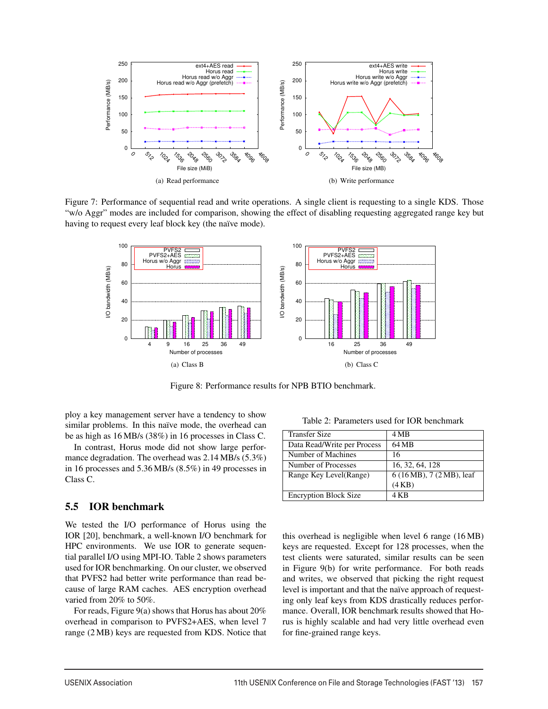

Figure 7: Performance of sequential read and write operations. A single client is requesting to a single KDS. Those "w/o Aggr" modes are included for comparison, showing the effect of disabling requesting aggregated range key but having to request every leaf block key (the naïve mode).



Figure 8: Performance results for NPB BTIO benchmark.

ploy a key management server have a tendency to show similar problems. In this naïve mode, the overhead can be as high as 16 MB/s (38%) in 16 processes in Class C.

In contrast, Horus mode did not show large performance degradation. The overhead was 2.14 MB/s (5.3%) in 16 processes and 5.36 MB/s (8.5%) in 49 processes in Class C.

### 5.5 IOR benchmark

We tested the I/O performance of Horus using the IOR [20], benchmark, a well-known I/O benchmark for HPC environments. We use IOR to generate sequential parallel I/O using MPI-IO. Table 2 shows parameters used for IOR benchmarking. On our cluster, we observed that PVFS2 had better write performance than read because of large RAM caches. AES encryption overhead varied from 20% to 50%.

For reads, Figure 9(a) shows that Horus has about 20% overhead in comparison to PVFS2+AES, when level 7 range (2 MB) keys are requested from KDS. Notice that

Table 2: Parameters used for IOR benchmark

| <b>Transfer Size</b>         | 4 MB                      |
|------------------------------|---------------------------|
| Data Read/Write per Process  | 64 MB                     |
| Number of Machines           | 16                        |
| Number of Processes          | 16, 32, 64, 128           |
| Range Key Level(Range)       | 6 (16 MB), 7 (2 MB), leaf |
|                              | (4KB)                     |
| <b>Encryption Block Size</b> | 4 K B                     |

this overhead is negligible when level 6 range (16 MB) keys are requested. Except for 128 processes, when the test clients were saturated, similar results can be seen in Figure 9(b) for write performance. For both reads and writes, we observed that picking the right request level is important and that the naïve approach of requesting only leaf keys from KDS drastically reduces performance. Overall, IOR benchmark results showed that Horus is highly scalable and had very little overhead even for fine-grained range keys.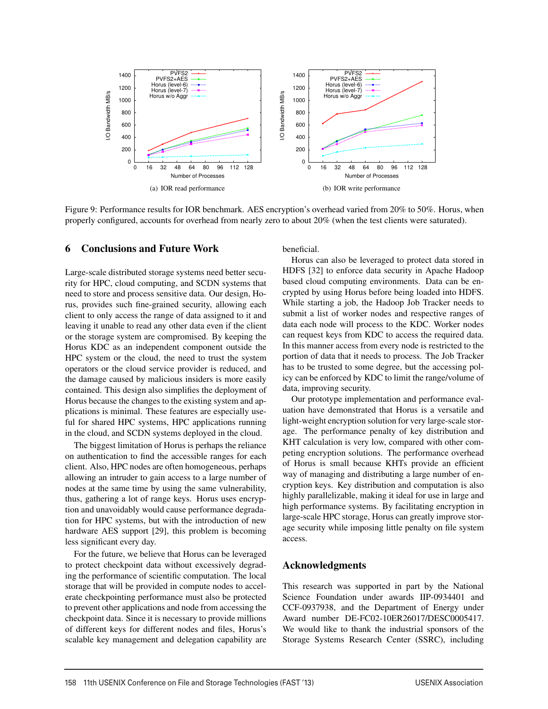

Figure 9: Performance results for IOR benchmark. AES encryption's overhead varied from 20% to 50%. Horus, when properly configured, accounts for overhead from nearly zero to about 20% (when the test clients were saturated).

#### 6 Conclusions and Future Work

Large-scale distributed storage systems need better security for HPC, cloud computing, and SCDN systems that need to store and process sensitive data. Our design, Horus, provides such fine-grained security, allowing each client to only access the range of data assigned to it and leaving it unable to read any other data even if the client or the storage system are compromised. By keeping the Horus KDC as an independent component outside the HPC system or the cloud, the need to trust the system operators or the cloud service provider is reduced, and the damage caused by malicious insiders is more easily contained. This design also simplifies the deployment of Horus because the changes to the existing system and applications is minimal. These features are especially useful for shared HPC systems, HPC applications running in the cloud, and SCDN systems deployed in the cloud.

The biggest limitation of Horus is perhaps the reliance on authentication to find the accessible ranges for each client. Also, HPC nodes are often homogeneous, perhaps allowing an intruder to gain access to a large number of nodes at the same time by using the same vulnerability, thus, gathering a lot of range keys. Horus uses encryption and unavoidably would cause performance degradation for HPC systems, but with the introduction of new hardware AES support [29], this problem is becoming less significant every day.

For the future, we believe that Horus can be leveraged to protect checkpoint data without excessively degrading the performance of scientific computation. The local storage that will be provided in compute nodes to accelerate checkpointing performance must also be protected to prevent other applications and node from accessing the checkpoint data. Since it is necessary to provide millions of different keys for different nodes and files, Horus's scalable key management and delegation capability are beneficial.

Horus can also be leveraged to protect data stored in HDFS [32] to enforce data security in Apache Hadoop based cloud computing environments. Data can be encrypted by using Horus before being loaded into HDFS. While starting a job, the Hadoop Job Tracker needs to submit a list of worker nodes and respective ranges of data each node will process to the KDC. Worker nodes can request keys from KDC to access the required data. In this manner access from every node is restricted to the portion of data that it needs to process. The Job Tracker has to be trusted to some degree, but the accessing policy can be enforced by KDC to limit the range/volume of data, improving security.

Our prototype implementation and performance evaluation have demonstrated that Horus is a versatile and light-weight encryption solution for very large-scale storage. The performance penalty of key distribution and KHT calculation is very low, compared with other competing encryption solutions. The performance overhead of Horus is small because KHTs provide an efficient way of managing and distributing a large number of encryption keys. Key distribution and computation is also highly parallelizable, making it ideal for use in large and high performance systems. By facilitating encryption in large-scale HPC storage, Horus can greatly improve storage security while imposing little penalty on file system access.

#### Acknowledgments

This research was supported in part by the National Science Foundation under awards IIP-0934401 and CCF-0937938, and the Department of Energy under Award number DE-FC02-10ER26017/DESC0005417. We would like to thank the industrial sponsors of the Storage Systems Research Center (SSRC), including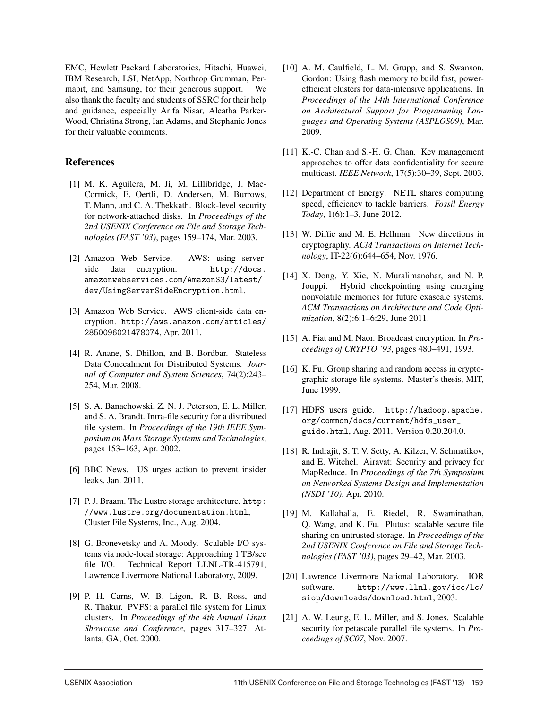EMC, Hewlett Packard Laboratories, Hitachi, Huawei, IBM Research, LSI, NetApp, Northrop Grumman, Permabit, and Samsung, for their generous support. We also thank the faculty and students of SSRC for their help and guidance, especially Arifa Nisar, Aleatha Parker-Wood, Christina Strong, Ian Adams, and Stephanie Jones for their valuable comments.

### References

- [1] M. K. Aguilera, M. Ji, M. Lillibridge, J. Mac-Cormick, E. Oertli, D. Andersen, M. Burrows, T. Mann, and C. A. Thekkath. Block-level security for network-attached disks. In *Proceedings of the 2nd USENIX Conference on File and Storage Technologies (FAST '03)*, pages 159–174, Mar. 2003.
- [2] Amazon Web Service. AWS: using serverside data encryption. http://docs. amazonwebservices.com/AmazonS3/latest/ dev/UsingServerSideEncryption.html.
- [3] Amazon Web Service. AWS client-side data encryption. http://aws.amazon.com/articles/ 2850096021478074, Apr. 2011.
- [4] R. Anane, S. Dhillon, and B. Bordbar. Stateless Data Concealment for Distributed Systems. *Journal of Computer and System Sciences*, 74(2):243– 254, Mar. 2008.
- [5] S. A. Banachowski, Z. N. J. Peterson, E. L. Miller, and S. A. Brandt. Intra-file security for a distributed file system. In *Proceedings of the 19th IEEE Symposium on Mass Storage Systems and Technologies*, pages 153–163, Apr. 2002.
- [6] BBC News. US urges action to prevent insider leaks, Jan. 2011.
- [7] P. J. Braam. The Lustre storage architecture. http: //www.lustre.org/documentation.html, Cluster File Systems, Inc., Aug. 2004.
- [8] G. Bronevetsky and A. Moody. Scalable I/O systems via node-local storage: Approaching 1 TB/sec file I/O. Technical Report LLNL-TR-415791, Lawrence Livermore National Laboratory, 2009.
- [9] P. H. Carns, W. B. Ligon, R. B. Ross, and R. Thakur. PVFS: a parallel file system for Linux clusters. In *Proceedings of the 4th Annual Linux Showcase and Conference*, pages 317–327, Atlanta, GA, Oct. 2000.
- [10] A. M. Caulfield, L. M. Grupp, and S. Swanson. Gordon: Using flash memory to build fast, powerefficient clusters for data-intensive applications. In *Proceedings of the 14th International Conference on Architectural Support for Programming Languages and Operating Systems (ASPLOS09)*, Mar. 2009.
- [11] K.-C. Chan and S.-H. G. Chan. Key management approaches to offer data confidentiality for secure multicast. *IEEE Network*, 17(5):30–39, Sept. 2003.
- [12] Department of Energy. NETL shares computing speed, efficiency to tackle barriers. *Fossil Energy Today*, 1(6):1–3, June 2012.
- [13] W. Diffie and M. E. Hellman. New directions in cryptography. *ACM Transactions on Internet Technology*, IT-22(6):644–654, Nov. 1976.
- [14] X. Dong, Y. Xie, N. Muralimanohar, and N. P. Jouppi. Hybrid checkpointing using emerging nonvolatile memories for future exascale systems. *ACM Transactions on Architecture and Code Optimization*, 8(2):6:1–6:29, June 2011.
- [15] A. Fiat and M. Naor. Broadcast encryption. In *Proceedings of CRYPTO '93*, pages 480–491, 1993.
- [16] K. Fu. Group sharing and random access in cryptographic storage file systems. Master's thesis, MIT, June 1999.
- [17] HDFS users guide. http://hadoop.apache. org/common/docs/current/hdfs\_user\_ guide.html, Aug. 2011. Version 0.20.204.0.
- [18] R. Indrajit, S. T. V. Setty, A. Kilzer, V. Schmatikov, and E. Witchel. Airavat: Security and privacy for MapReduce. In *Proceedings of the 7th Symposium on Networked Systems Design and Implementation (NSDI '10)*, Apr. 2010.
- [19] M. Kallahalla, E. Riedel, R. Swaminathan, Q. Wang, and K. Fu. Plutus: scalable secure file sharing on untrusted storage. In *Proceedings of the 2nd USENIX Conference on File and Storage Technologies (FAST '03)*, pages 29–42, Mar. 2003.
- [20] Lawrence Livermore National Laboratory. IOR software. http://www.llnl.gov/icc/lc/ siop/downloads/download.html, 2003.
- [21] A. W. Leung, E. L. Miller, and S. Jones. Scalable security for petascale parallel file systems. In *Proceedings of SC07*, Nov. 2007.